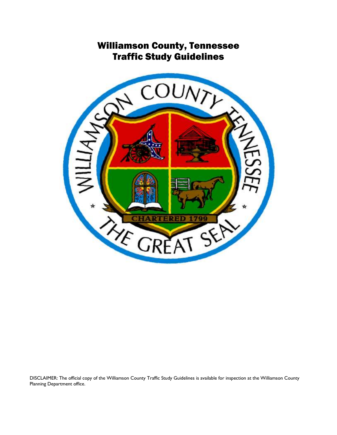# Williamson County, Tennessee Traffic Study Guidelines



DISCLAIMER: The official copy of the Williamson County Traffic Study Guidelines is available for inspection at the Williamson County Planning Department office.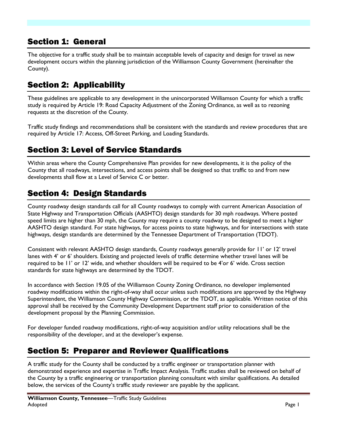### Section 1: General

The objective for a traffic study shall be to maintain acceptable levels of capacity and design for travel as new development occurs within the planning jurisdiction of the Williamson County Government (hereinafter the County).

## Section 2: Applicability

These guidelines are applicable to any development in the unincorporated Williamson County for which a traffic study is required by Article 19: Road Capacity Adjustment of the Zoning Ordinance, as well as to rezoning requests at the discretion of the County.

Traffic study findings and recommendations shall be consistent with the standards and review procedures that are required by Article 17: Access, Off-Street Parking, and Loading Standards.

### Section 3: Level of Service Standards

Within areas where the County Comprehensive Plan provides for new developments, it is the policy of the County that all roadways, intersections, and access points shall be designed so that traffic to and from new developments shall flow at a Level of Service C or better.

### Section 4: Design Standards

County roadway design standards call for all County roadways to comply with current American Association of State Highway and Transportation Officials (AASHTO) design standards for 30 mph roadways. Where posted speed limits are higher than 30 mph, the County may require a county roadway to be designed to meet a higher AASHTO design standard. For state highways, for access points to state highways, and for intersections with state highways, design standards are determined by the Tennessee Department of Transportation (TDOT).

Consistent with relevant AASHTO design standards, County roadways generally provide for 11' or 12' travel lanes with 4' or 6' shoulders. Existing and projected levels of traffic determine whether travel lanes will be required to be 11' or 12' wide, and whether shoulders will be required to be 4'or 6' wide. Cross section standards for state highways are determined by the TDOT.

In accordance with Section 19.05 of the Williamson County Zoning Ordinance, no developer implemented roadway modifications within the right-of-way shall occur unless such modifications are approved by the Highway Superintendent, the Williamson County Highway Commission, or the TDOT, as applicable. Written notice of this approval shall be received by the Community Development Department staff prior to consideration of the development proposal by the Planning Commission.

For developer funded roadway modifications, right-of-way acquisition and/or utility relocations shall be the responsibility of the developer, and at the developer's expense.

### Section 5: Preparer and Reviewer Qualifications

A traffic study for the County shall be conducted by a traffic engineer or transportation planner with demonstrated experience and expertise in Traffic Impact Analysis. Traffic studies shall be reviewed on behalf of the County by a traffic engineering or transportation planning consultant with similar qualifications. As detailed below, the services of the County's traffic study reviewer are payable by the applicant.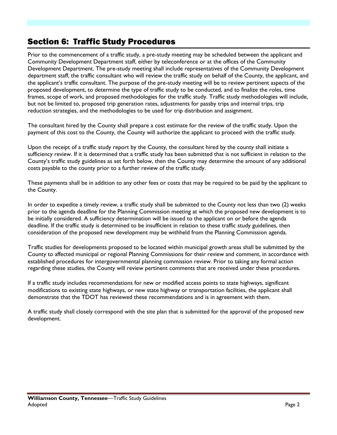### Section 6: Traffic Study Procedures

Prior to the commencement of a traffic study, a pre-study meeting may be scheduled between the applicant and Community Development Department staff, either by teleconference or at the offices of the Community Development Department. The pre-study meeting shall include representatives of the Community Development department staff, the traffic consultant who will review the traffic study on behalf of the County, the applicant, and the applicant's traffic consultant. The purpose of the pre-study meeting will be to review pertinent aspects of the proposed development, to determine the type of traffic study to be conducted, and to finalize the roles, time frames, scope of work, and proposed methodologies for the traffic study. Traffic study methodologies will include, but not be limited to, proposed trip generation rates, adjustments for passby trips and internal trips, trip reduction strategies, and the methodologies to be used for trip distribution and assignment.

The consultant hired by the County shall prepare a cost estimate for the review of the traffic study. Upon the payment of this cost to the County, the County will authorize the applicant to proceed with the traffic study.

Upon the receipt of a traffic study report by the County, the consultant hired by the county shall initiate a sufficiency review. If it is determined that a traffic study has been submitted that is not sufficient in relation to the County's traffic study guidelines as set forth below, then the County may determine the amount of any additional costs payable to the county prior to a further review of the traffic study.

These payments shall be in addition to any other fees or costs that may be required to be paid by the applicant to the County.

In order to expedite a timely review, a traffic study shall be submitted to the County not less than two (2) weeks prior to the agenda deadline for the Planning Commission meeting at which the proposed new development is to be initially considered. A sufficiency determination will be issued to the applicant on or before the agenda deadline. If the traffic study is determined to be insufficient in relation to these traffic study guidelines, then consideration of the proposed new development may be withheld from the Planning Commission agenda.

Traffic studies for developments proposed to be located within municipal growth areas shall be submitted by the County to affected municipal or regional Planning Commissions for their review and comment, in accordance with established procedures for intergovernmental planning commission review. Prior to taking any formal action regarding these studies, the County will review pertinent comments that are received under these procedures.

If a traffic study includes recommendations for new or modified access points to state highways, significant modifications to existing state highways, or new state highway or transportation facilities, the applicant shall demonstrate that the TDOT has reviewed these recommendations and is in agreement with them.

A traffic study shall closely correspond with the site plan that is submitted for the approval of the proposed new development.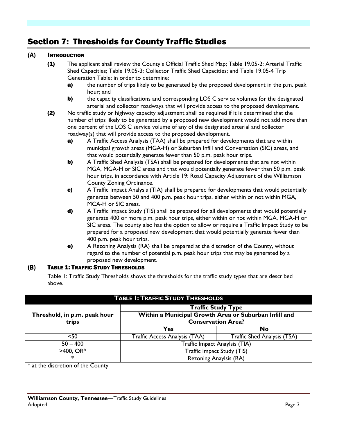## Section 7: Thresholds for County Traffic Studies

#### (A) INTRODUCTION

- (1) The applicant shall review the County's Official Traffic Shed Map; Table 19.05-2: Arterial Traffic Shed Capacities; Table 19.05-3: Collector Traffic Shed Capacities; and Table 19.05-4 Trip Generation Table; in order to determine:
	- a) the number of trips likely to be generated by the proposed development in the p.m. peak hour; and
	- **b)** the capacity classifications and corresponding LOS C service volumes for the designated arterial and collector roadways that will provide access to the proposed development.
- (2) No traffic study or highway capacity adjustment shall be required if it is determined that the number of trips likely to be generated by a proposed new development would not add more than one percent of the LOS C service volume of any of the designated arterial and collector roadway(s) that will provide access to the proposed development.
	- **a)** A Traffic Access Analysis (TAA) shall be prepared for developments that are within municipal growth areas (MGA-H) or Suburban Infill and Conversation (SIC) areas, and that would potentially generate fewer than 50 p.m. peak hour trips.
	- **b)** A Traffic Shed Analysis (TSA) shall be prepared for developments that are not within MGA, MGA-H or SIC areas and that would potentially generate fewer than 50 p.m. peak hour trips, in accordance with Article 19: Road Capacity Adjustment of the Williamson County Zoning Ordinance.
	- c) A Traffic Impact Analysis (TIA) shall be prepared for developments that would potentially generate between 50 and 400 p.m. peak hour trips, either within or not within MGA, MCA-H or SIC areas.
	- d) A Traffic Impact Study (TIS) shall be prepared for all developments that would potentially generate 400 or more p.m. peak hour trips, either within or not within MGA, MGA-H or SIC areas. The county also has the option to allow or require a Traffic Impact Study to be prepared for a proposed new development that would potentially generate fewer than 400 p.m. peak hour trips.
	- e) A Rezoning Analysis (RA) shall be prepared at the discretion of the County, without regard to the number of potential p.m. peak hour trips that may be generated by a proposed new development.

#### (B) TABLE 1: TRAFFIC STUDY THRESHOLDS

Table 1: Traffic Study Thresholds shows the thresholds for the traffic study types that are described above.

| <b>TABLE 1: TRAFFIC STUDY THRESHOLDS</b> |                                                       |                                    |  |  |  |  |
|------------------------------------------|-------------------------------------------------------|------------------------------------|--|--|--|--|
|                                          | <b>Traffic Study Type</b>                             |                                    |  |  |  |  |
| Threshold, in p.m. peak hour             | Within a Municipal Growth Area or Suburban Infill and |                                    |  |  |  |  |
| trips                                    | <b>Conservation Area?</b>                             |                                    |  |  |  |  |
|                                          | Yes                                                   | No                                 |  |  |  |  |
| $50$                                     | Traffic Access Analysis (TAA)                         | <b>Traffic Shed Analysis (TSA)</b> |  |  |  |  |
| $50 - 400$                               | Traffic Impact Anaylsis (TIA)                         |                                    |  |  |  |  |
| $>400$ , OR*                             | Traffic Impact Study (TIS)                            |                                    |  |  |  |  |
| $^\ast$                                  | Rezoning Anaylsis (RA)                                |                                    |  |  |  |  |
| * at the discretion of the County        |                                                       |                                    |  |  |  |  |

#### **Williamson County, Tennessee**—Traffic Study Guidelines Adopted Page 3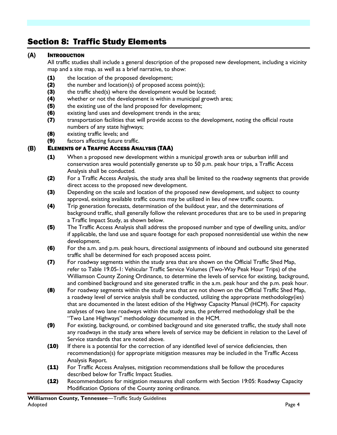## Section 8: Traffic Study Elements

#### (A) INTRODUCTION

All traffic studies shall include a general description of the proposed new development, including a vicinity map and a site map, as well as a brief narrative, to show:

- (1) the location of the proposed development;
- (2) the number and location(s) of proposed access point(s);
- (3) the traffic shed(s) where the development would be located;
- (4) whether or not the development is within a municipal growth area;
- (5) the existing use of the land proposed for development;
- (6) existing land uses and development trends in the area;
- (7) transportation facilities that will provide access to the development, noting the official route numbers of any state highways;
- (8) existing traffic levels; and
- (9) factors affecting future traffic.

#### (B) ELEMENTS OF A TRAFFIC ACCESS ANALYSIS (TAA)

- (1) When a proposed new development within a municipal growth area or suburban infill and conservation area would potentially generate up to 50 p.m. peak hour trips, a Traffic Access Analysis shall be conducted.
- (2) For a Traffic Access Analysis, the study area shall be limited to the roadway segments that provide direct access to the proposed new development.
- (3) Depending on the scale and location of the proposed new development, and subject to county approval, existing available traffic counts may be utilized in lieu of new traffic counts.
- (4) Trip generation forecasts, determination of the buildout year, and the determinations of background traffic, shall generally follow the relevant procedures that are to be used in preparing a Traffic Impact Study, as shown below.
- (5) The Traffic Access Analysis shall address the proposed number and type of dwelling units, and/or if applicable, the land use and square footage for each proposed nonresidential use within the new development.
- (6) For the a.m. and p.m. peak hours, directional assignments of inbound and outbound site generated traffic shall be determined for each proposed access point.
- (7) For roadway segments within the study area that are shown on the Official Traffic Shed Map, refer to Table 19.05-1: Vehicular Traffic Service Volumes (Two-Way Peak Hour Trips) of the Williamson County Zoning Ordinance, to determine the levels of service for existing, background, and combined background and site generated traffic in the a.m. peak hour and the p.m. peak hour.
- (8) For roadway segments within the study area that are not shown on the Official Traffic Shed Map, a roadway level of service analysis shall be conducted, utilizing the appropriate methodology(ies) that are documented in the latest edition of the Highway Capacity Manual (HCM). For capacity analyses of two lane roadways within the study area, the preferred methodology shall be the "Two Lane Highways" methodology documented in the HCM.
- (9) For existing, background, or combined background and site generated traffic, the study shall note any roadways in the study area where levels of service may be deficient in relation to the Level of Service standards that are noted above.
- (10) If there is a potential for the correction of any identified level of service deficiencies, then recommendation(s) for appropriate mitigation measures may be included in the Traffic Access Analysis Report.
- (11) For Traffic Access Analyses, mitigation recommendations shall be follow the procedures described below for Traffic Impact Studies.
- (12) Recommendations for mitigation measures shall conform with Section 19:05: Roadway Capacity Modification Options of the County zoning ordinance.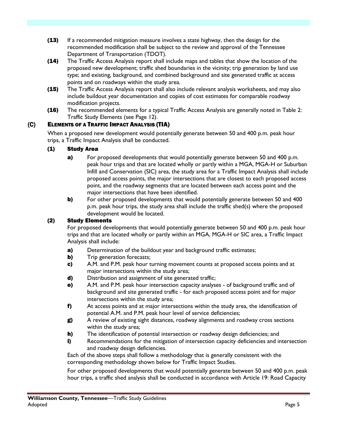- (13) If a recommended mitigation measure involves a state highway, then the design for the recommended modification shall be subject to the review and approval of the Tennessee Department of Transportation (TDOT).
- (14) The Traffic Access Analysis report shall include maps and tables that show the location of the proposed new development; traffic shed boundaries in the vicinity; trip generation by land use type; and existing, background, and combined background and site generated traffic at access points and on roadways within the study area.
- (15) The Traffic Access Analysis report shall also include relevant analysis worksheets, and may also include buildout year documentation and copies of cost estimates for comparable roadway modification projects.
- (16) The recommended elements for a typical Traffic Access Analysis are generally noted in Table 2: Traffic Study Elements (see Page 12).

### (C) ELEMENTS OF A TRAFFIC IMPACT ANALYSIS (TIA)

When a proposed new development would potentially generate between 50 and 400 p.m. peak hour trips, a Traffic Impact Analysis shall be conducted.

#### (1) Study Area

- a) For proposed developments that would potentially generate between 50 and 400 p.m. peak hour trips and that are located wholly or partly within a MGA, MGA-H or Suburban Infill and Conservation (SIC) area, the study area for a Traffic Impact Analysis shall include proposed access points, the major intersections that are closest to each proposed access point, and the roadway segments that are located between each access point and the major intersections that have been identified.
- b) For other proposed developments that would potentially generate between 50 and 400 p.m. peak hour trips, the study area shall include the traffic shed(s) where the proposed development would be located.

#### (2) Study Elements

For proposed developments that would potentially generate between 50 and 400 p.m. peak hour trips and that are located wholly or partly within an MGA, MGA-H or SIC area, a Traffic Impact Analysis shall include:

- a) Determination of the buildout year and background traffic estimates;
- **b)** Trip generation forecasts;
- c) A.M. and P.M. peak hour turning movement counts at proposed access points and at major intersections within the study area;
- d) Distribution and assignment of site generated traffic;
- e) A.M. and P.M. peak hour intersection capacity analyses of background traffic and of background and site generated traffic - for each proposed access point and for major intersections within the study area;
- f) At access points and at major intersections within the study area, the identification of potential A.M. and P.M. peak hour level of service deficiencies;
- g) A review of existing sight distances, roadway alignments and roadway cross sections within the study area;
- h) The identification of potential intersection or roadway design deficiencies; and
- i) Recommendations for the mitigation of intersection capacity deficiencies and intersection and roadway design deficiencies.

Each of the above steps shall follow a methodology that is generally consistent with the corresponding methodology shown below for Traffic Impact Studies.

For other proposed developments that would potentially generate between 50 and 400 p.m. peak hour trips, a traffic shed analysis shall be conducted in accordance with Article 19: Road Capacity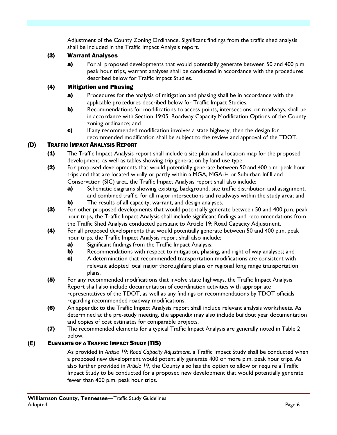Adjustment of the County Zoning Ordinance. Significant findings from the traffic shed analysis shall be included in the Traffic Impact Analysis report.

#### (3) Warrant Analyses

a) For all proposed developments that would potentially generate between 50 and 400 p.m. peak hour trips, warrant analyses shall be conducted in accordance with the procedures described below for Traffic Impact Studies.

#### (4) Mitigation and Phasing

- **a)** Procedures for the analysis of mitigation and phasing shall be in accordance with the applicable procedures described below for Traffic Impact Studies.
- **b)** Recommendations for modifications to access points, intersections, or roadways, shall be in accordance with Section 19:05: Roadway Capacity Modification Options of the County zoning ordinance; and
- c) If any recommended modification involves a state highway, then the design for recommended modification shall be subject to the review and approval of the TDOT.

### (D) TRAFFIC IMPACT ANALYSIS REPORT

- (1) The Traffic Impact Analysis report shall include a site plan and a location map for the proposed development, as well as tables showing trip generation by land use type.
- (2) For proposed developments that would potentially generate between 50 and 400 p.m. peak hour trips and that are located wholly or partly within a MGA, MGA-H or Suburban Infill and Conservation (SIC) area, the Traffic Impact Analysis report shall also include:
	- a) Schematic diagrams showing existing, background, site traffic distribution and assignment, and combined traffic, for all major intersections and roadways within the study area; and
	- **b)** The results of all capacity, warrant, and design analyses.
- (3) For other proposed developments that would potentially generate between 50 and 400 p.m. peak hour trips, the Traffic Impact Analysis shall include significant findings and recommendations from the Traffic Shed Analysis conducted pursuant to Article 19: Road Capacity Adjustment.
- (4) For all proposed developments that would potentially generate between 50 and 400 p.m. peak hour trips, the Traffic Impact Analysis report shall also include:
	- a) Significant findings from the Traffic Impact Analysis;
	- **b)** Recommendations with respect to mitigation, phasing, and right of way analyses; and
	- c) A determination that recommended transportation modifications are consistent with relevant adopted local major thoroughfare plans or regional long range transportation plans.
- **(5)** For any recommended modifications that involve state highways, the Traffic Impact Analysis Report shall also include documentation of coordination activities with appropriate representatives of the TDOT, as well as any findings or recommendations by TDOT officials regarding recommended roadway modifications.
- (6) An appendix to the Traffic Impact Analysis report shall include relevant analysis worksheets. As determined at the pre-study meeting, the appendix may also include buildout year documentation and copies of cost estimates for comparable projects.
- (7) The recommended elements for a typical Traffic Impact Analysis are generally noted in Table 2 below.

#### (E) ELEMENTS OF A TRAFFIC IMPACT STUDY (TIS)

As provided in *Article 19: Road Capacity Adjustment*, a Traffic Impact Study shall be conducted when a proposed new development would potentially generate 400 or more p.m. peak hour trips. As also further provided in *Article 19*, the County also has the option to allow or require a Traffic Impact Study to be conducted for a proposed new development that would potentially generate fewer than 400 p.m. peak hour trips.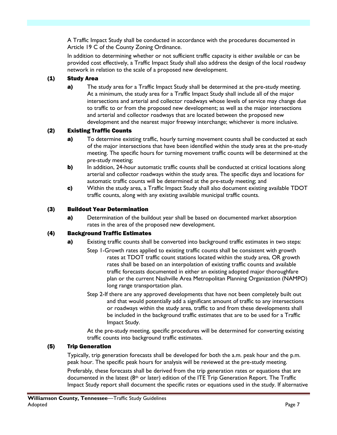A Traffic Impact Study shall be conducted in accordance with the procedures documented in Article 19 C of the County Zoning Ordinance.

In addition to determining whether or not sufficient traffic capacity is either available or can be provided cost effectively, a Traffic Impact Study shall also address the design of the local roadway network in relation to the scale of a proposed new development.

#### (1) Study Area

a) The study area for a Traffic Impact Study shall be determined at the pre-study meeting. At a minimum, the study area for a Traffic Impact Study shall include all of the major intersections and arterial and collector roadways whose levels of service may change due to traffic to or from the proposed new development; as well as the major intersections and arterial and collector roadways that are located between the proposed new development and the nearest major freeway interchange; whichever is more inclusive.

### (2) Existing Traffic Counts

- **a)** To determine existing traffic, hourly turning movement counts shall be conducted at each of the major intersections that have been identified within the study area at the pre-study meeting. The specific hours for turning movement traffic counts will be determined at the pre-study meeting;
- **b)** In addition, 24-hour automatic traffic counts shall be conducted at critical locations along arterial and collector roadways within the study area. The specific days and locations for automatic traffic counts will be determined at the pre-study meeting; and
- c) Within the study area, a Traffic Impact Study shall also document existing available TDOT traffic counts, along with any existing available municipal traffic counts.

#### (3) Buildout Year Determination

a) Determination of the buildout year shall be based on documented market absorption rates in the area of the proposed new development.

#### (4) Background Traffic Estimates

- a) Existing traffic counts shall be converted into background traffic estimates in two steps:
	- Step 1-Growth rates applied to existing traffic counts shall be consistent with growth rates at TDOT traffic count stations located within the study area, OR growth rates shall be based on an interpolation of existing traffic counts and available traffic forecasts documented in either an existing adopted major thoroughfare plan or the current Nashville Area Metropolitan Planning Organization (NAMPO) long range transportation plan.
	- Step 2-If there are any approved developments that have not been completely built out and that would potentially add a significant amount of traffic to any intersections or roadways within the study area, traffic to and from these developments shall be included in the background traffic estimates that are to be used for a Traffic Impact Study.

At the pre-study meeting, specific procedures will be determined for converting existing traffic counts into background traffic estimates.

#### (5) Trip Generation

Typically, trip generation forecasts shall be developed for both the a.m. peak hour and the p.m. peak hour. The specific peak hours for analysis will be reviewed at the pre-study meeting.

Preferably, these forecasts shall be derived from the trip generation rates or equations that are documented in the latest (8<sup>th</sup> or later) edition of the ITE Trip Generation Report. The Traffic Impact Study report shall document the specific rates or equations used in the study. If alternative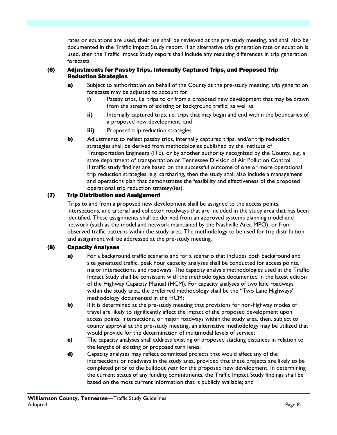rates or equations are used, their use shall be reviewed at the pre-study meeting, and shall also be documented in the Traffic Impact Study report. If an alternative trip generation rate or equation is used, then the Traffic Impact Study report shall include any resulting differences in trip generation forecasts.

#### (6) Adjustments for Passby Trips, Internally Captured Trips, and Proposed Trip Reduction Strategies

- **a)** Subject to authorization on behalf of the County at the pre-study meeting, trip generation forecasts may be adjusted to account for:
	- **i)** Passby trips, i.e. trips to or from a proposed new development that may be drawn from the stream of existing or background traffic; as well as
	- **ii)** Internally captured trips, i.e. trips that may begin and end within the boundaries of a proposed new development; and
	- **iii)** Proposed trip reduction strategies.
- **b)** Adjustments to reflect passby trips, internally captured trips, and/or trip reduction strategies shall be derived from methodologies published by the Institute of Transportation Engineers (ITE), or by another authority recognized by the County, e.g. a state department of transportation or Tennessee Division of Air Pollution Control. If traffic study findings are based on the successful outcome of one or more operational trip reduction strategies, e.g. carsharing, then the study shall also include a management and operations plan that demonstrates the feasibility and effectiveness of the proposed operational trip reduction strategy(ies).

### (7) Trip Distribution and Assignment

Trips to and from a proposed new development shall be assigned to the access points, intersections, and arterial and collector roadways that are included in the study area that has been identified. These assignments shall be derived from an approved systems planning model and network (such as the model and network maintained by the Nashville Area MPO), or from observed traffic patterns within the study area. The methodology to be used for trip distribution and assignment will be addressed at the pre-study meeting.

#### (8) Capacity Analyses

- a) For a background traffic scenario and for a scenario that includes both background and site generated traffic, peak hour capacity analyses shall be conducted for access points, major intersections, and roadways. The capacity analysis methodologies used in the Traffic Impact Study shall be consistent with the methodologies documented in the latest edition of the Highway Capacity Manual (HCM). For capacity analyses of two lane roadways within the study area, the preferred methodology shall be the "Two Lane Highways" methodology documented in the HCM;
- b) If it is determined at the pre-study meeting that provisions for non-highway modes of travel are likely to significantly affect the impact of the proposed development upon access points, intersections, or major roadways within the study area, then, subject to county approval at the pre-study meeting, an alternative methodology may be utilized that would provide for the determination of multimodal levels of service;
- c) The capacity analyses shall address existing or proposed stacking distances in relation to the lengths of existing or proposed turn lanes;
- d) Capacity analyses may reflect committed projects that would affect any of the intersections or roadways in the study area, provided that these projects are likely to be completed prior to the buildout year for the proposed new development. In determining the current status of any funding commitments, the Traffic Impact Study findings shall be based on the most current information that is publicly available; and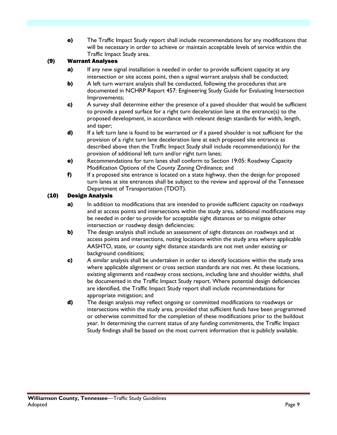e) The Traffic Impact Study report shall include recommendations for any modifications that will be necessary in order to achieve or maintain acceptable levels of service within the Traffic Impact Study area.

#### (9) Warrant Analyses

- a) If any new signal installation is needed in order to provide sufficient capacity at any intersection or site access point, then a signal warrant analysis shall be conducted;
- **b)** A left turn warrant analysis shall be conducted, following the procedures that are documented in NCHRP Report 457: Engineering Study Guide for Evaluating Intersection Improvements;
- c) A survey shall determine either the presence of a paved shoulder that would be sufficient to provide a paved surface for a right turn deceleration lane at the entrance(s) to the proposed development, in accordance with relevant design standards for width, length, and taper;
- d) If a left turn lane is found to be warranted or if a paved shoulder is not sufficient for the provision of a right turn lane deceleration lane at each proposed site entrance as described above then the Traffic Impact Study shall include recommendation(s) for the provision of additional left turn and/or right turn lanes;
- e) Recommendations for turn lanes shall conform to Section 19:05: Roadway Capacity Modification Options of the County Zoning Ordinance; and
- f) If a proposed site entrance is located on a state highway, then the design for proposed turn lanes at site entrances shall be subject to the review and approval of the Tennessee Department of Transportation (TDOT).

#### (10) Design Analysis

- a) In addition to modifications that are intended to provide sufficient capacity on roadways and at access points and intersections within the study area, additional modifications may be needed in order to provide for acceptable sight distances or to mitigate other intersection or roadway design deficiencies;
- b) The design analysis shall include an assessment of sight distances on roadways and at access points and intersections, noting locations within the study area where applicable AASHTO, state, or county sight distance standards are not met under existing or background conditions;
- c) A similar analysis shall be undertaken in order to identify locations within the study area where applicable alignment or cross section standards are not met. At these locations, existing alignments and roadway cross sections, including lane and shoulder widths, shall be documented in the Traffic Impact Study report. Where potential design deficiencies are identified, the Traffic Impact Study report shall include recommendations for appropriate mitigation; and
- d) The design analysis may reflect ongoing or committed modifications to roadways or intersections within the study area, provided that sufficient funds have been programmed or otherwise committed for the completion of these modifications prior to the buildout year. In determining the current status of any funding commitments, the Traffic Impact Study findings shall be based on the most current information that is publicly available.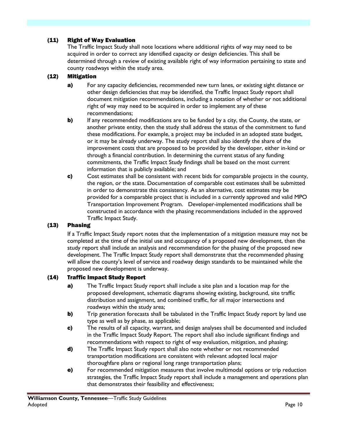#### (11) Right of Way Evaluation

The Traffic Impact Study shall note locations where additional rights of way may need to be acquired in order to correct any identified capacity or design deficiencies. This shall be determined through a review of existing available right of way information pertaining to state and county roadways within the study area.

#### (12) Mitigation

- a) For any capacity deficiencies, recommended new turn lanes, or existing sight distance or other design deficiencies that may be identified, the Traffic Impact Study report shall document mitigation recommendations, including a notation of whether or not additional right of way may need to be acquired in order to implement any of these recommendations;
- b) If any recommended modifications are to be funded by a city, the County, the state, or another private entity, then the study shall address the status of the commitment to fund these modifications. For example, a project may be included in an adopted state budget, or it may be already underway. The study report shall also identify the share of the improvement costs that are proposed to be provided by the developer, either in-kind or through a financial contribution. In determining the current status of any funding commitments, the Traffic Impact Study findings shall be based on the most current information that is publicly available; and
- c) Cost estimates shall be consistent with recent bids for comparable projects in the county, the region, or the state. Documentation of comparable cost estimates shall be submitted in order to demonstrate this consistency. As an alternative, cost estimates may be provided for a comparable project that is included in a currently approved and valid MPO Transportation Improvement Program. Developer-implemented modifications shall be constructed in accordance with the phasing recommendations included in the approved Traffic Impact Study.

#### (13) Phasing

If a Traffic Impact Study report notes that the implementation of a mitigation measure may not be completed at the time of the initial use and occupancy of a proposed new development, then the study report shall include an analysis and recommendation for the phasing of the proposed new development. The Traffic Impact Study report shall demonstrate that the recommended phasing will allow the county's level of service and roadway design standards to be maintained while the proposed new development is underway.

#### (14) Traffic Impact Study Report

- **a)** The Traffic Impact Study report shall include a site plan and a location map for the proposed development, schematic diagrams showing existing, background, site traffic distribution and assignment, and combined traffic, for all major intersections and roadways within the study area;
- b) Trip generation forecasts shall be tabulated in the Traffic Impact Study report by land use type as well as by phase, as applicable;
- c) The results of all capacity, warrant, and design analyses shall be documented and included in the Traffic Impact Study Report. The report shall also include significant findings and recommendations with respect to right of way evaluation, mitigation, and phasing;
- d) The Traffic Impact Study report shall also note whether or not recommended transportation modifications are consistent with relevant adopted local major thoroughfare plans or regional long range transportation plans;
- e) For recommended mitigation measures that involve multimodal options or trip reduction strategies, the Traffic Impact Study report shall include a management and operations plan that demonstrates their feasibility and effectiveness;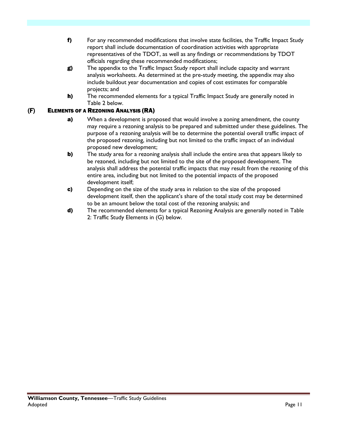- f) For any recommended modifications that involve state facilities, the Traffic Impact Study report shall include documentation of coordination activities with appropriate representatives of the TDOT, as well as any findings or recommendations by TDOT officials regarding these recommended modifications;
- g) The appendix to the Traffic Impact Study report shall include capacity and warrant analysis worksheets. As determined at the pre-study meeting, the appendix may also include buildout year documentation and copies of cost estimates for comparable projects; and
- h) The recommended elements for a typical Traffic Impact Study are generally noted in Table 2 below.

#### (F) ELEMENTS OF A REZONING ANALYSIS (RA)

- a) When a development is proposed that would involve a zoning amendment, the county may require a rezoning analysis to be prepared and submitted under these guidelines. The purpose of a rezoning analysis will be to determine the potential overall traffic impact of the proposed rezoning, including but not limited to the traffic impact of an individual proposed new development;
- b) The study area for a rezoning analysis shall include the entire area that appears likely to be rezoned, including but not limited to the site of the proposed development. The analysis shall address the potential traffic impacts that may result from the rezoning of this entire area, including but not limited to the potential impacts of the proposed development itself;
- c) Depending on the size of the study area in relation to the size of the proposed development itself, then the applicant's share of the total study cost may be determined to be an amount below the total cost of the rezoning analysis; and
- d) The recommended elements for a typical Rezoning Analysis are generally noted in Table 2: Traffic Study Elements in (G) below.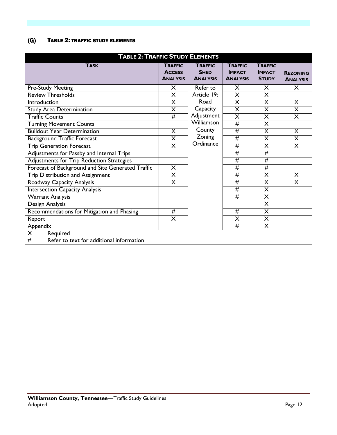### (G) TABLE 2: TRAFFIC STUDY ELEMENTS

| <b>TABLE 2: TRAFFIC STUDY ELEMENTS</b>            |                                                    |                                                  |                                                    |                                                 |                                    |  |  |
|---------------------------------------------------|----------------------------------------------------|--------------------------------------------------|----------------------------------------------------|-------------------------------------------------|------------------------------------|--|--|
| <b>TASK</b>                                       | <b>TRAFFIC</b><br><b>ACCESS</b><br><b>ANALYSIS</b> | <b>TRAFFIC</b><br><b>SHED</b><br><b>ANALYSIS</b> | <b>TRAFFIC</b><br><b>IMPACT</b><br><b>ANALYSIS</b> | <b>TRAFFIC</b><br><b>IMPACT</b><br><b>STUDY</b> | <b>REZONING</b><br><b>ANALYSIS</b> |  |  |
| <b>Pre-Study Meeting</b>                          | X                                                  | Refer to                                         | X                                                  | X                                               | X                                  |  |  |
| <b>Review Thresholds</b>                          | $\overline{\mathsf{x}}$                            | Article 19:                                      | $\overline{\mathsf{x}}$                            | $\overline{\mathsf{X}}$                         |                                    |  |  |
| Introduction                                      | X                                                  | Road                                             | X                                                  | X                                               | X                                  |  |  |
| <b>Study Area Determination</b>                   | $\overline{\mathsf{x}}$                            | Capacity                                         | $\overline{\mathsf{x}}$                            | $\overline{\mathsf{x}}$                         | $\overline{\mathsf{x}}$            |  |  |
| <b>Traffic Counts</b>                             | $\overline{\#}$                                    | Adjustment                                       | $\overline{\mathsf{x}}$                            | X                                               | X                                  |  |  |
| <b>Turning Movement Counts</b>                    |                                                    | Williamson                                       | #                                                  | $\overline{\mathsf{x}}$                         |                                    |  |  |
| <b>Buildout Year Determination</b>                | $\overline{\mathsf{X}}$                            | County                                           | #                                                  | $\overline{\mathsf{x}}$                         | $\overline{\mathsf{X}}$            |  |  |
| <b>Background Traffic Forecast</b>                | X                                                  | Zoning                                           | $\overline{\#}$                                    | X                                               | X                                  |  |  |
| <b>Trip Generation Forecast</b>                   | $\overline{\mathsf{x}}$                            | Ordinance                                        | #                                                  | $\overline{\mathsf{x}}$                         | $\overline{\mathsf{x}}$            |  |  |
| Adjustments for Passby and Internal Trips         |                                                    |                                                  | #                                                  | #                                               |                                    |  |  |
| Adjustments for Trip Reduction Strategies         |                                                    |                                                  | #                                                  | $\overline{\#}$                                 |                                    |  |  |
| Forecast of Background and Site Generated Traffic | $\overline{\mathsf{X}}$                            |                                                  | $\overline{\#}$                                    | #                                               |                                    |  |  |
| Trip Distribution and Assignment                  | X                                                  |                                                  | #                                                  | X                                               | X                                  |  |  |
| Roadway Capacity Analysis                         | $\overline{\mathsf{x}}$                            |                                                  | $\overline{\#}$                                    | $\overline{\mathsf{x}}$                         | $\overline{\mathsf{x}}$            |  |  |
| <b>Intersection Capacity Analysis</b>             |                                                    |                                                  | #                                                  | $\overline{\mathsf{x}}$                         |                                    |  |  |
| <b>Warrant Analysis</b>                           |                                                    |                                                  | $\overline{\#}$                                    | $\overline{\mathsf{x}}$                         |                                    |  |  |
| Design Analysis                                   |                                                    |                                                  |                                                    | $\overline{\mathsf{x}}$                         |                                    |  |  |
| Recommendations for Mitigation and Phasing        | #                                                  |                                                  | #                                                  | X                                               |                                    |  |  |
| Report                                            | $\overline{\mathsf{x}}$                            |                                                  | $\overline{\mathsf{X}}$                            | $\overline{\mathsf{X}}$                         |                                    |  |  |
| Appendix                                          |                                                    |                                                  | #                                                  | X                                               |                                    |  |  |
| $\overline{\mathsf{X}}$<br>Required               |                                                    |                                                  |                                                    |                                                 |                                    |  |  |
| #<br>Refer to text for additional information     |                                                    |                                                  |                                                    |                                                 |                                    |  |  |

 $\sim$